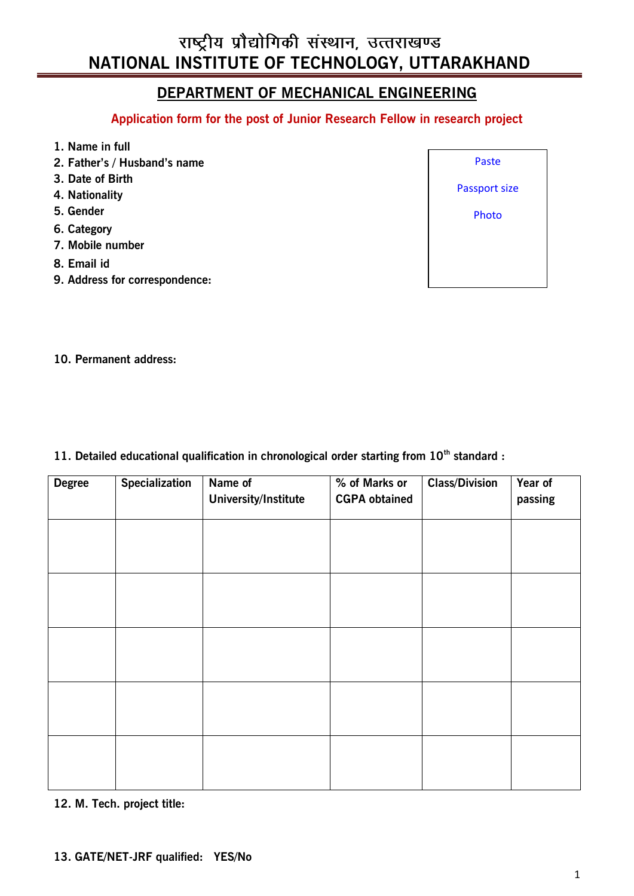# राष्ट्रीय प्रौद्योगिकी संस्थान, उत्तराखण्ड **NATIONAL INSTITUTE OF TECHNOLOGY, UTTARAKHAND**

# **DEPARTMENT OF MECHANICAL ENGINEERING**

**Application form for the post of Junior Research Fellow in research project** 

- **1. Name in full**
- **2. Father's / Husband's name**
- **3. Date of Birth**
- **4. Nationality**
- **5. Gender**
- **6. Category**
- **7. Mobile number**
- **8. Email id**
- **9. Address for correspondence:**



**10. Permanent address:**

**11. Detailed educational qualification in chronological order starting from 10th standard :**

| <b>Degree</b> | <b>Specialization</b> | Name of<br><b>University/Institute</b> | % of Marks or<br><b>CGPA obtained</b> | <b>Class/Division</b> | Year of<br>passing |
|---------------|-----------------------|----------------------------------------|---------------------------------------|-----------------------|--------------------|
|               |                       |                                        |                                       |                       |                    |
|               |                       |                                        |                                       |                       |                    |
|               |                       |                                        |                                       |                       |                    |
|               |                       |                                        |                                       |                       |                    |
|               |                       |                                        |                                       |                       |                    |
|               |                       |                                        |                                       |                       |                    |
|               |                       |                                        |                                       |                       |                    |
|               |                       |                                        |                                       |                       |                    |
|               |                       |                                        |                                       |                       |                    |
|               |                       |                                        |                                       |                       |                    |
|               |                       |                                        |                                       |                       |                    |

**12. M. Tech. project title:**